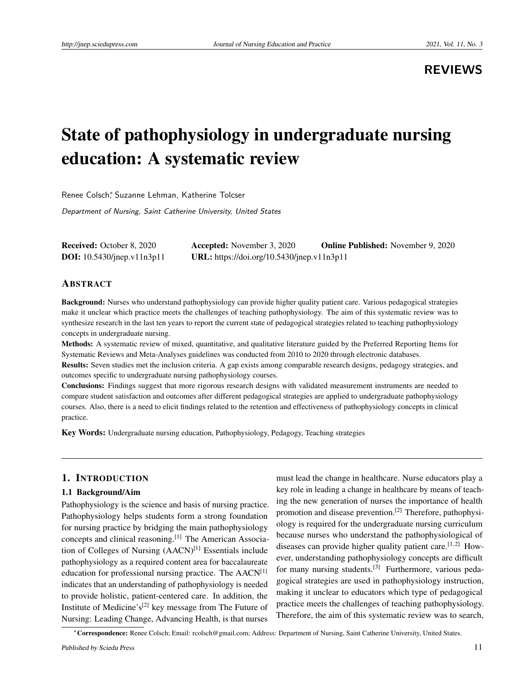**REVIEWS**

# State of pathophysiology in undergraduate nursing education: A systematic review

Renee Colsch<sup>\*</sup>, Suzanne Lehman, Katherine Tolcser

Department of Nursing, Saint Catherine University, United States

Received: October 8, 2020 Accepted: November 3, 2020 Online Published: November 9, 2020 DOI: 10.5430/jnep.v11n3p11 URL: https://doi.org/10.5430/jnep.v11n3p11

# ABSTRACT

Background: Nurses who understand pathophysiology can provide higher quality patient care. Various pedagogical strategies make it unclear which practice meets the challenges of teaching pathophysiology. The aim of this systematic review was to synthesize research in the last ten years to report the current state of pedagogical strategies related to teaching pathophysiology concepts in undergraduate nursing.

Methods: A systematic review of mixed, quantitative, and qualitative literature guided by the Preferred Reporting Items for Systematic Reviews and Meta-Analyses guidelines was conducted from 2010 to 2020 through electronic databases.

Results: Seven studies met the inclusion criteria. A gap exists among comparable research designs, pedagogy strategies, and outcomes specific to undergraduate nursing pathophysiology courses.

Conclusions: Findings suggest that more rigorous research designs with validated measurement instruments are needed to compare student satisfaction and outcomes after different pedagogical strategies are applied to undergraduate pathophysiology courses. Also, there is a need to elicit findings related to the retention and effectiveness of pathophysiology concepts in clinical practice.

Key Words: Undergraduate nursing education, Pathophysiology, Pedagogy, Teaching strategies

# 1. INTRODUCTION

#### 1.1 Background/Aim

Pathophysiology is the science and basis of nursing practice. Pathophysiology helps students form a strong foundation for nursing practice by bridging the main pathophysiology concepts and clinical reasoning.[\[1\]](#page-4-0) The American Association of Colleges of Nursing  $(AACN)^{[1]}$  $(AACN)^{[1]}$  $(AACN)^{[1]}$  Essentials include pathophysiology as a required content area for baccalaureate education for professional nursing practice. The AACN[\[1\]](#page-4-0) indicates that an understanding of pathophysiology is needed to provide holistic, patient-centered care. In addition, the Institute of Medicine's<sup>[\[2\]](#page-4-1)</sup> key message from The Future of Nursing: Leading Change, Advancing Health, is that nurses

must lead the change in healthcare. Nurse educators play a key role in leading a change in healthcare by means of teaching the new generation of nurses the importance of health promotion and disease prevention.<sup>[\[2\]](#page-4-1)</sup> Therefore, pathophysiology is required for the undergraduate nursing curriculum because nurses who understand the pathophysiological of diseases can provide higher quality patient care.<sup>[\[1,](#page-4-0)[2\]](#page-4-1)</sup> However, understanding pathophysiology concepts are difficult for many nursing students.<sup>[\[3\]](#page-4-2)</sup> Furthermore, various pedagogical strategies are used in pathophysiology instruction, making it unclear to educators which type of pedagogical practice meets the challenges of teaching pathophysiology. Therefore, the aim of this systematic review was to search,

<sup>∗</sup>Correspondence: Renee Colsch; Email: rcolsch@gmail.com; Address: Department of Nursing, Saint Catherine University, United States.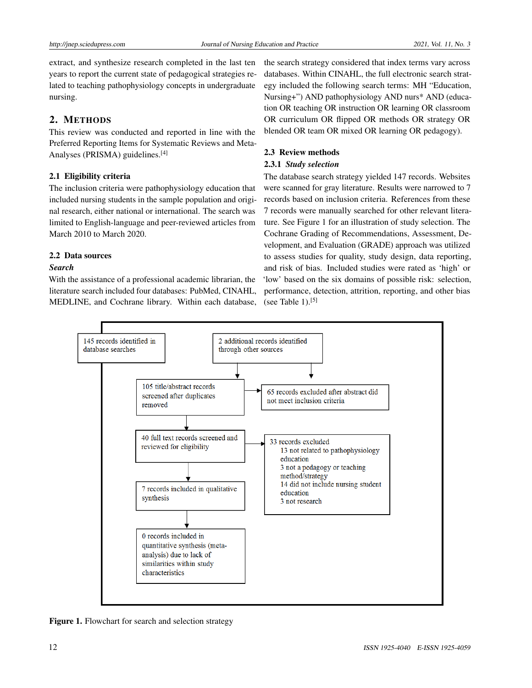extract, and synthesize research completed in the last ten years to report the current state of pedagogical strategies related to teaching pathophysiology concepts in undergraduate nursing.

# 2. METHODS

This review was conducted and reported in line with the Preferred Reporting Items for Systematic Reviews and Meta-Analyses (PRISMA) guidelines.[\[4\]](#page-5-0)

# 2.1 Eligibility criteria

The inclusion criteria were pathophysiology education that included nursing students in the sample population and original research, either national or international. The search was limited to English-language and peer-reviewed articles from March 2010 to March 2020.

# 2.2 Data sources

#### *Search*

With the assistance of a professional academic librarian, the literature search included four databases: PubMed, CINAHL, MEDLINE, and Cochrane library. Within each database,

the search strategy considered that index terms vary across databases. Within CINAHL, the full electronic search strategy included the following search terms: MH "Education, Nursing+") AND pathophysiology AND nurs\* AND (education OR teaching OR instruction OR learning OR classroom OR curriculum OR flipped OR methods OR strategy OR blended OR team OR mixed OR learning OR pedagogy).

# 2.3 Review methods

#### 2.3.1 *Study selection*

The database search strategy yielded 147 records. Websites were scanned for gray literature. Results were narrowed to 7 records based on inclusion criteria. References from these 7 records were manually searched for other relevant literature. See Figure 1 for an illustration of study selection. The Cochrane Grading of Recommendations, Assessment, Development, and Evaluation (GRADE) approach was utilized to assess studies for quality, study design, data reporting, and risk of bias. Included studies were rated as 'high' or 'low' based on the six domains of possible risk: selection, performance, detection, attrition, reporting, and other bias (see Table 1). $[5]$ 



Figure 1. Flowchart for search and selection strategy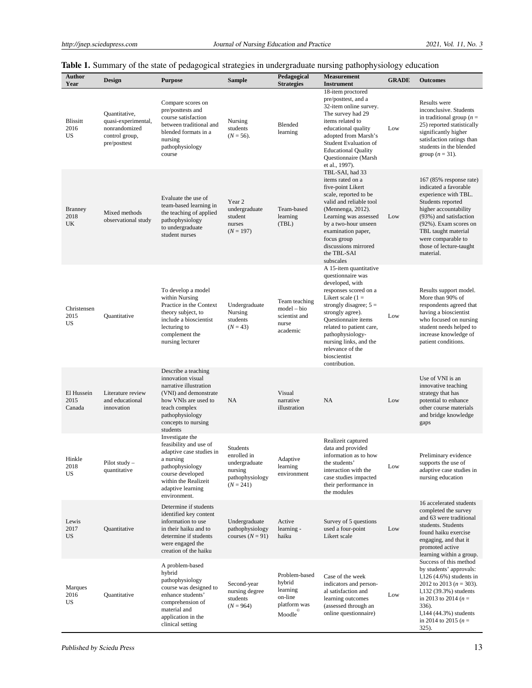# Table 1. Summary of the state of pedagogical strategies in undergraduate nursing pathophysiology education

| Author<br>Year                   | <b>Design</b>                                                                           | <b>Purpose</b>                                                                                                                                                                             | <b>Sample</b>                                                                         | Pedagogical<br><b>Strategies</b>                                         | <b>Measurement</b><br><b>Instrument</b>                                                                                                                                                                                                                                                                              | <b>GRADE</b> | <b>Outcomes</b>                                                                                                                                                                                                                                                   |
|----------------------------------|-----------------------------------------------------------------------------------------|--------------------------------------------------------------------------------------------------------------------------------------------------------------------------------------------|---------------------------------------------------------------------------------------|--------------------------------------------------------------------------|----------------------------------------------------------------------------------------------------------------------------------------------------------------------------------------------------------------------------------------------------------------------------------------------------------------------|--------------|-------------------------------------------------------------------------------------------------------------------------------------------------------------------------------------------------------------------------------------------------------------------|
| Blissitt<br>2016<br><b>US</b>    | Quantitative,<br>quasi-experimental,<br>nonrandomized<br>control group,<br>pre/posttest | Compare scores on<br>pre/posttests and<br>course satisfaction<br>between traditional and<br>blended formats in a<br>nursing<br>pathophysiology<br>course                                   | Nursing<br>students<br>$(N = 56)$ .                                                   | Blended<br>learning                                                      | 18-item proctored<br>pre/posttest, and a<br>32-item online survey.<br>The survey had 29<br>items related to<br>educational quality<br>adopted from Marsh's<br>Student Evaluation of<br><b>Educational Quality</b><br>Questionnaire (Marsh<br>et al., 1997).                                                          | Low          | Results were<br>inconclusive. Students<br>in traditional group ( $n =$<br>25) reported statistically<br>significantly higher<br>satisfaction ratings than<br>students in the blended<br>group $(n = 31)$ .                                                        |
| <b>Branney</b><br>2018<br>UK     | Mixed methods<br>observational study                                                    | Evaluate the use of<br>team-based learning in<br>the teaching of applied<br>pathophysiology<br>to undergraduate<br>student nurses                                                          | Year <sub>2</sub><br>undergraduate<br>student<br>nurses<br>$(N = 197)$                | Team-based<br>learning<br>(TBL)                                          | TBL-SAI, had 33<br>items rated on a<br>five-point Likert<br>scale, reported to be<br>valid and reliable tool<br>(Mennenga, 2012).<br>Learning was assessed<br>by a two-hour unseen<br>examination paper,<br>focus group<br>discussions mirrored<br>the TBL-SAI<br>subscales                                          | Low          | $167 (85\%$ response rate)<br>indicated a favorable<br>experience with TBL.<br>Students reported<br>higher accountability<br>(93%) and satisfaction<br>(92%). Exam scores on<br>TBL taught material<br>were comparable to<br>those of lecture-taught<br>material. |
| Christensen<br>2015<br><b>US</b> | Quantitative                                                                            | To develop a model<br>within Nursing<br>Practice in the Context<br>theory subject, to<br>include a bioscientist<br>lecturing to<br>complement the<br>nursing lecturer                      | Undergraduate<br>Nursing<br>students<br>$(N = 43)$                                    | Team teaching<br>$model - bio$<br>scientist and<br>nurse<br>academic     | A 15-item quantitative<br>questionnaire was<br>developed, with<br>responses scored on a<br>Likert scale $(1 =$<br>strongly disagree; $5 =$<br>strongly agree).<br>Questionnaire items<br>related to patient care,<br>pathophysiology-<br>nursing links, and the<br>relevance of the<br>bioscientist<br>contribution. | Low          | Results support model.<br>More than 90% of<br>respondents agreed that<br>having a bioscientist<br>who focused on nursing<br>student needs helped to<br>increase knowledge of<br>patient conditions.                                                               |
| El Hussein<br>2015<br>Canada     | Literature review<br>and educational<br>innovation                                      | Describe a teaching<br>innovation visual<br>narrative illustration<br>(VNI) and demonstrate<br>how VNIs are used to<br>teach complex<br>pathophysiology<br>concepts to nursing<br>students | NA                                                                                    | Visual<br>narrative<br>illustration                                      | NA                                                                                                                                                                                                                                                                                                                   | Low          | Use of VNI is an<br>innovative teaching<br>strategy that has<br>potential to enhance<br>other course materials<br>and bridge knowledge<br>gaps                                                                                                                    |
| Hinkle<br>2018<br>US             | Pilot study<br>quantitative                                                             | Investigate the<br>feasibility and use of<br>adaptive case studies in<br>a nursing<br>pathophysiology<br>course developed<br>within the Realizeit<br>adaptive learning<br>environment.     | Students<br>enrolled in<br>undergraduate<br>nursing<br>pathophysiology<br>$(N = 241)$ | Adaptive<br>learning<br>environment                                      | Realizeit captured<br>data and provided<br>information as to how<br>the students'<br>interaction with the<br>case studies impacted<br>their performance in<br>the modules                                                                                                                                            | Low          | Preliminary evidence<br>supports the use of<br>adaptive case studies in<br>nursing education                                                                                                                                                                      |
| Lewis<br>2017<br>US              | Quantitative                                                                            | Determine if students<br>identified key content<br>information to use<br>in their haiku and to<br>determine if students<br>were engaged the<br>creation of the haiku                       | Undergraduate<br>pathophysiology<br>courses $(N = 91)$                                | Active<br>learning -<br>haiku                                            | Survey of 5 questions<br>used a four-point<br>Likert scale                                                                                                                                                                                                                                                           | Low          | 16 accelerated students<br>completed the survey<br>and 63 were traditional<br>students. Students<br>found haiku exercise<br>engaging, and that it<br>promoted active<br>learning within a group.                                                                  |
| Marques<br>2016<br>US            | Quantitative                                                                            | A problem-based<br>hybrid<br>pathophysiology<br>course was designed to<br>enhance students'<br>comprehension of<br>material and<br>application in the<br>clinical setting                  | Second-year<br>nursing degree<br>students<br>$(N = 964)$                              | Problem-based<br>hybrid<br>learning<br>on-line<br>platform was<br>Moodle | Case of the week<br>indicators and person-<br>al satisfaction and<br>learning outcomes<br>(assessed through an<br>online questionnaire)                                                                                                                                                                              | Low          | Success of this method<br>by students' approvals:<br>$1,126(4.6%)$ students in<br>2012 to 2013 ( $n = 303$ ).<br>1,132 (39.3%) students<br>in 2013 to 2014 ( $n =$<br>336).<br>1,144 (44.3%) students<br>in 2014 to 2015 ( $n =$<br>325).                         |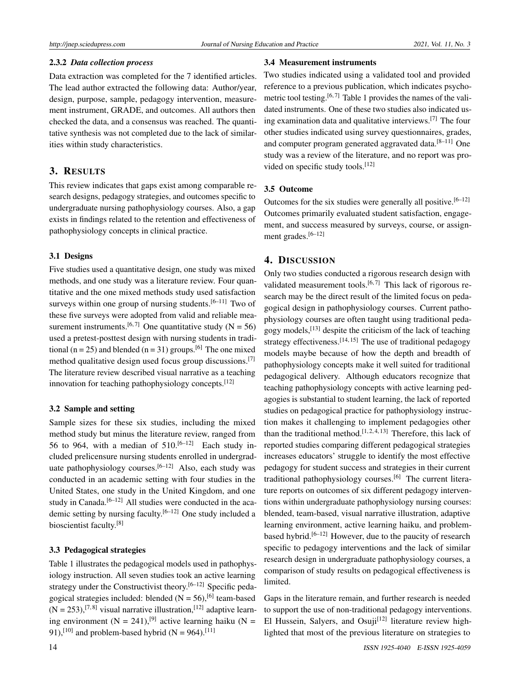#### 2.3.2 *Data collection process*

Data extraction was completed for the 7 identified articles. The lead author extracted the following data: Author/year, design, purpose, sample, pedagogy intervention, measurement instrument, GRADE, and outcomes. All authors then checked the data, and a consensus was reached. The quantitative synthesis was not completed due to the lack of similarities within study characteristics.

# 3. RESULTS

This review indicates that gaps exist among comparable research designs, pedagogy strategies, and outcomes specific to undergraduate nursing pathophysiology courses. Also, a gap exists in findings related to the retention and effectiveness of pathophysiology concepts in clinical practice.

#### 3.1 Designs

Five studies used a quantitative design, one study was mixed methods, and one study was a literature review. Four quantitative and the one mixed methods study used satisfaction surveys within one group of nursing students.<sup>[\[6](#page-5-2)[–11\]](#page-5-3)</sup> Two of these five surveys were adopted from valid and reliable mea-surement instruments.<sup>[\[6,](#page-5-2)[7\]](#page-5-4)</sup> One quantitative study (N = 56) used a pretest-posttest design with nursing students in tradi-tional (n = 25) and blended (n = 31) groups.<sup>[\[6\]](#page-5-2)</sup> The one mixed method qualitative design used focus group discussions.[\[7\]](#page-5-4) The literature review described visual narrative as a teaching innovation for teaching pathophysiology concepts.<sup>[\[12\]](#page-5-5)</sup>

#### 3.2 Sample and setting

Sample sizes for these six studies, including the mixed method study but minus the literature review, ranged from 56 to 964, with a median of  $510^{[6-12]}$  $510^{[6-12]}$  $510^{[6-12]}$  Each study included prelicensure nursing students enrolled in undergrad-uate pathophysiology courses.<sup>[\[6](#page-5-2)-12]</sup> Also, each study was conducted in an academic setting with four studies in the United States, one study in the United Kingdom, and one study in Canada.<sup>[\[6–](#page-5-2)[12\]](#page-5-5)</sup> All studies were conducted in the academic setting by nursing faculty.[\[6–](#page-5-2)[12\]](#page-5-5) One study included a bioscientist faculty.<sup>[\[8\]](#page-5-6)</sup>

#### 3.3 Pedagogical strategies

Table 1 illustrates the pedagogical models used in pathophysiology instruction. All seven studies took an active learning strategy under the Constructivist theory.  $[6-12]$  $[6-12]$  Specific pedagogical strategies included: blended  $(N = 56)$ , <sup>[\[6\]](#page-5-2)</sup> team-based  $(N = 253)$ , <sup>[\[7,](#page-5-4)[8\]](#page-5-6)</sup> visual narrative illustration, <sup>[\[12\]](#page-5-5)</sup> adaptive learning environment  $(N = 241)$ ,<sup>[\[9\]](#page-5-7)</sup> active learning haiku  $(N = 1241)$ 91),<sup>[\[10\]](#page-5-8)</sup> and problem-based hybrid (N = 964).<sup>[\[11\]](#page-5-3)</sup>

# 3.4 Measurement instruments

Two studies indicated using a validated tool and provided reference to a previous publication, which indicates psycho-metric tool testing.<sup>[\[6,](#page-5-2)[7\]](#page-5-4)</sup> Table 1 provides the names of the validated instruments. One of these two studies also indicated using examination data and qualitative interviews.[\[7\]](#page-5-4) The four other studies indicated using survey questionnaires, grades, and computer program generated aggravated data.<sup>[8-[11\]](#page-5-3)</sup> One study was a review of the literature, and no report was pro-vided on specific study tools.<sup>[\[12\]](#page-5-5)</sup>

### 3.5 Outcome

Outcomes for the six studies were generally all positive.<sup>[\[6–](#page-5-2)[12\]](#page-5-5)</sup> Outcomes primarily evaluated student satisfaction, engagement, and success measured by surveys, course, or assign-ment grades.<sup>[\[6–](#page-5-2)[12\]](#page-5-5)</sup>

#### 4. DISCUSSION

Only two studies conducted a rigorous research design with validated measurement tools.<sup>[\[6,](#page-5-2)[7\]](#page-5-4)</sup> This lack of rigorous research may be the direct result of the limited focus on pedagogical design in pathophysiology courses. Current pathophysiology courses are often taught using traditional pedagogy models,[\[13\]](#page-5-9) despite the criticism of the lack of teaching strategy effectiveness.<sup>[\[14,](#page-5-10) [15\]](#page-5-11)</sup> The use of traditional pedagogy models maybe because of how the depth and breadth of pathophysiology concepts make it well suited for traditional pedagogical delivery. Although educators recognize that teaching pathophysiology concepts with active learning pedagogies is substantial to student learning, the lack of reported studies on pedagogical practice for pathophysiology instruction makes it challenging to implement pedagogies other than the traditional method.<sup>[\[1,](#page-4-0) [2,](#page-4-1) [4,](#page-5-0) [13\]](#page-5-9)</sup> Therefore, this lack of reported studies comparing different pedagogical strategies increases educators' struggle to identify the most effective pedagogy for student success and strategies in their current traditional pathophysiology courses.<sup>[\[6\]](#page-5-2)</sup> The current literature reports on outcomes of six different pedagogy interventions within undergraduate pathophysiology nursing courses: blended, team-based, visual narrative illustration, adaptive learning environment, active learning haiku, and problem-based hybrid.<sup>[\[6](#page-5-2)[–12\]](#page-5-5)</sup> However, due to the paucity of research specific to pedagogy interventions and the lack of similar research design in undergraduate pathophysiology courses, a comparison of study results on pedagogical effectiveness is limited.

Gaps in the literature remain, and further research is needed to support the use of non-traditional pedagogy interventions. El Hussein, Salyers, and Osuji<sup>[\[12\]](#page-5-5)</sup> literature review highlighted that most of the previous literature on strategies to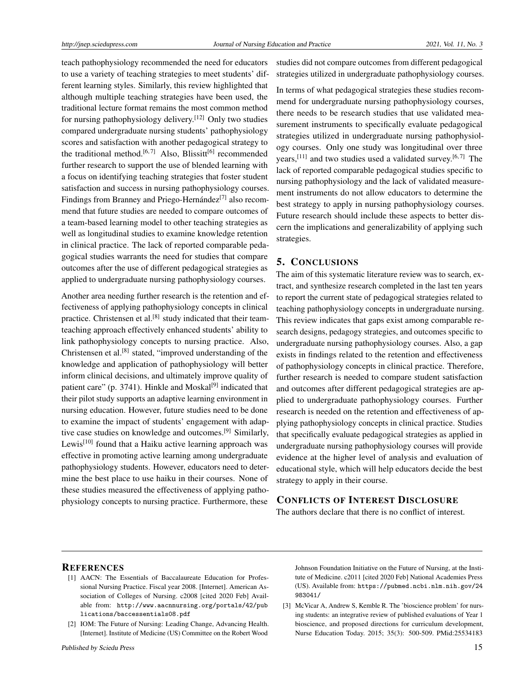teach pathophysiology recommended the need for educators to use a variety of teaching strategies to meet students' different learning styles. Similarly, this review highlighted that although multiple teaching strategies have been used, the traditional lecture format remains the most common method for nursing pathophysiology delivery.[\[12\]](#page-5-5) Only two studies compared undergraduate nursing students' pathophysiology scores and satisfaction with another pedagogical strategy to the traditional method.<sup>[\[6,](#page-5-2)[7\]](#page-5-4)</sup> Also, Blissitt<sup>[\[6\]](#page-5-2)</sup> recommended further research to support the use of blended learning with a focus on identifying teaching strategies that foster student satisfaction and success in nursing pathophysiology courses. Findings from Branney and Priego-Hernández<sup>[\[7\]](#page-5-4)</sup> also recommend that future studies are needed to compare outcomes of a team-based learning model to other teaching strategies as well as longitudinal studies to examine knowledge retention in clinical practice. The lack of reported comparable pedagogical studies warrants the need for studies that compare outcomes after the use of different pedagogical strategies as applied to undergraduate nursing pathophysiology courses.

Another area needing further research is the retention and effectiveness of applying pathophysiology concepts in clinical practice. Christensen et al.<sup>[\[8\]](#page-5-6)</sup> study indicated that their teamteaching approach effectively enhanced students' ability to link pathophysiology concepts to nursing practice. Also, Christensen et al.<sup>[\[8\]](#page-5-6)</sup> stated, "improved understanding of the knowledge and application of pathophysiology will better inform clinical decisions, and ultimately improve quality of patient care" (p. 3741). Hinkle and Moskal<sup>[\[9\]](#page-5-7)</sup> indicated that their pilot study supports an adaptive learning environment in nursing education. However, future studies need to be done to examine the impact of students' engagement with adaptive case studies on knowledge and outcomes.[\[9\]](#page-5-7) Similarly, Lewis<sup>[\[10\]](#page-5-8)</sup> found that a Haiku active learning approach was effective in promoting active learning among undergraduate pathophysiology students. However, educators need to determine the best place to use haiku in their courses. None of these studies measured the effectiveness of applying pathophysiology concepts to nursing practice. Furthermore, these

studies did not compare outcomes from different pedagogical strategies utilized in undergraduate pathophysiology courses.

In terms of what pedagogical strategies these studies recommend for undergraduate nursing pathophysiology courses, there needs to be research studies that use validated measurement instruments to specifically evaluate pedagogical strategies utilized in undergraduate nursing pathophysiology courses. Only one study was longitudinal over three years,<sup>[\[11\]](#page-5-3)</sup> and two studies used a validated survey.<sup>[\[6,](#page-5-2)[7\]](#page-5-4)</sup> The lack of reported comparable pedagogical studies specific to nursing pathophysiology and the lack of validated measurement instruments do not allow educators to determine the best strategy to apply in nursing pathophysiology courses. Future research should include these aspects to better discern the implications and generalizability of applying such strategies.

# 5. CONCLUSIONS

The aim of this systematic literature review was to search, extract, and synthesize research completed in the last ten years to report the current state of pedagogical strategies related to teaching pathophysiology concepts in undergraduate nursing. This review indicates that gaps exist among comparable research designs, pedagogy strategies, and outcomes specific to undergraduate nursing pathophysiology courses. Also, a gap exists in findings related to the retention and effectiveness of pathophysiology concepts in clinical practice. Therefore, further research is needed to compare student satisfaction and outcomes after different pedagogical strategies are applied to undergraduate pathophysiology courses. Further research is needed on the retention and effectiveness of applying pathophysiology concepts in clinical practice. Studies that specifically evaluate pedagogical strategies as applied in undergraduate nursing pathophysiology courses will provide evidence at the higher level of analysis and evaluation of educational style, which will help educators decide the best strategy to apply in their course.

# CONFLICTS OF INTEREST DISCLOSURE

The authors declare that there is no conflict of interest.

#### **REFERENCES**

- <span id="page-4-0"></span>[1] AACN: The Essentials of Baccalaureate Education for Professional Nursing Practice. Fiscal year 2008. [Internet]. American Association of Colleges of Nursing. c2008 [cited 2020 Feb] Available from: [http://www.aacnnursing.org/portals/42/pub](http://www.aacnnursing.org/portals/42/publications/baccessentials08.pdf) [lications/baccessentials08.pdf](http://www.aacnnursing.org/portals/42/publications/baccessentials08.pdf)
- <span id="page-4-1"></span>[2] IOM: The Future of Nursing: Leading Change, Advancing Health. [Internet]. Institute of Medicine (US) Committee on the Robert Wood

Johnson Foundation Initiative on the Future of Nursing, at the Institute of Medicine. c2011 [cited 2020 Feb] National Academies Press (US). Available from: [https://pubmed.ncbi.nlm.nih.gov/24](https://pubmed.ncbi.nlm.nih.gov/24983041/) [983041/](https://pubmed.ncbi.nlm.nih.gov/24983041/)

<span id="page-4-2"></span>[3] McVicar A, Andrew S, Kemble R. The 'bioscience problem' for nursing students: an integrative review of published evaluations of Year 1 bioscience, and proposed directions for curriculum development, Nurse Education Today. 2015; 35(3): 500-509. PMid:25534183